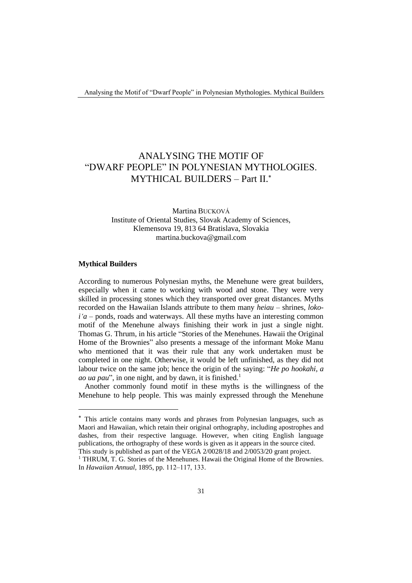## ANALYSING THE MOTIF OF "DWARF PEOPLE" IN POLYNESIAN MYTHOLOGIES. MYTHICAL BUILDERS – Part II.

Martina BUCKOVÁ Institute of Oriental Studies, Slovak Academy of Sciences, Klemensova 19, 813 64 Bratislava, Slovakia martina.buckova@gmail.com

## **Mythical Builders**

According to numerous Polynesian myths, the Menehune were great builders, especially when it came to working with wood and stone. They were very skilled in processing stones which they transported over great distances. Myths recorded on the Hawaiian Islands attribute to them many *heiau* – shrines, *lokoi'a* – ponds, roads and waterways. All these myths have an interesting common motif of the Menehune always finishing their work in just a single night. Thomas G. Thrum, in his article "Stories of the Menehunes. Hawaii the Original Home of the Brownies" also presents a message of the informant Moke Manu who mentioned that it was their rule that any work undertaken must be completed in one night. Otherwise, it would be left unfinished, as they did not labour twice on the same job; hence the origin of the saying: "*He po hookahi, a ao ua pau*", in one night, and by dawn, it is finished.<sup>1</sup>

Another commonly found motif in these myths is the willingness of the Menehune to help people. This was mainly expressed through the Menehune

This article contains many words and phrases from Polynesian languages, such as Maori and Hawaiian, which retain their original orthography, including apostrophes and dashes, from their respective language. However, when citing English language publications, the orthography of these words is given as it appears in the source cited.

This study is published as part of the VEGA 2/0028/18 and 2/0053/20 grant project.

<sup>&</sup>lt;sup>1</sup> THRUM, T. G. Stories of the Menehunes. Hawaii the Original Home of the Brownies. In *Hawaiian Annual*, 1895, pp. 112‒117, 133.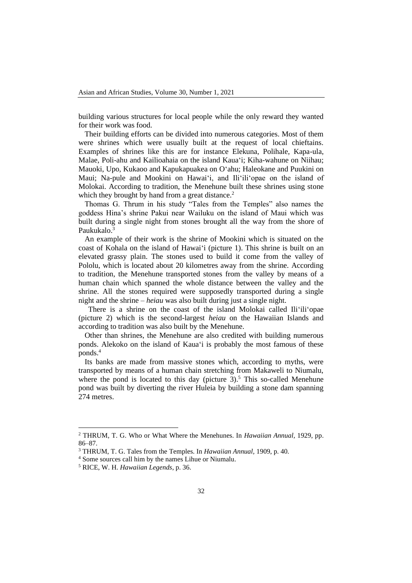building various structures for local people while the only reward they wanted for their work was food.

Their building efforts can be divided into numerous categories. Most of them were shrines which were usually built at the request of local chieftains. Examples of shrines like this are for instance Elekuna, Polihale, Kapa-ula, Malae, Poli-ahu and Kailioahaia on the island Kaua'i; Kiha-wahune on Niihau; Mauoki, Upo, Kukaoo and Kapukapuakea on O'ahu; Haleokane and Puukini on Maui; Na-pule and Mookini on Hawai'i, and Ili'ili'opae on the island of Molokai. According to tradition, the Menehune built these shrines using stone which they brought by hand from a great distance.<sup>2</sup>

Thomas G. Thrum in his study "Tales from the Temples" also names the goddess Hina's shrine Pakui near Wailuku on the island of Maui which was built during a single night from stones brought all the way from the shore of Paukukalo.<sup>3</sup>

An example of their work is the shrine of Mookini which is situated on the coast of Kohala on the island of Hawai'i (picture 1). This shrine is built on an elevated grassy plain. The stones used to build it come from the valley of Pololu, which is located about 20 kilometres away from the shrine. According to tradition, the Menehune transported stones from the valley by means of a human chain which spanned the whole distance between the valley and the shrine. All the stones required were supposedly transported during a single night and the shrine – *heiau* was also built during just a single night.

There is a shrine on the coast of the island Molokai called Ili'ili'opae (picture 2) which is the second-largest *heiau* on the Hawaiian Islands and according to tradition was also built by the Menehune.

Other than shrines, the Menehune are also credited with building numerous ponds. Alekoko on the island of Kaua'i is probably the most famous of these ponds.<sup>4</sup>

Its banks are made from massive stones which, according to myths, were transported by means of a human chain stretching from Makaweli to Niumalu, where the pond is located to this day (picture  $3$ ).<sup>5</sup> This so-called Menehune pond was built by diverting the river Huleia by building a stone dam spanning 274 metres.

<sup>2</sup> THRUM, T. G. Who or What Where the Menehunes. In *Hawaiian Annual,* 1929, pp. 86–87.

<sup>3</sup> THRUM, T. G. Tales from the Temples. In *Hawaiian Annual,* 1909, p. 40.

<sup>4</sup> Some sources call him by the names Lihue or Niumalu.

<sup>5</sup> RICE, W. H. *Hawaiian Legends*, p. 36.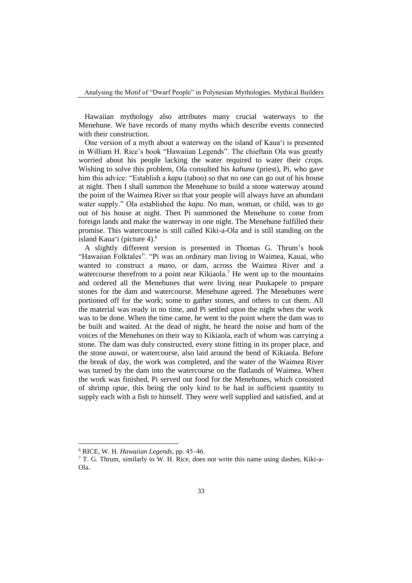Hawaiian mythology also attributes many crucial waterways to the Menehune. We have records of many myths which describe events connected with their construction.

One version of a myth about a waterway on the island of Kaua'i is presented in William H. Rice's book "Hawaiian Legends". The chieftain Ola was greatly worried about his people lacking the water required to water their crops. Wishing to solve this problem, Ola consulted his *kahuna* (priest), Pi, who gave him this advice: "Establish a *kapu* (taboo) so that no one can go out of his house at night. Then I shall summon the Menehune to build a stone waterway around the point of the Waimea River so that your people will always have an abundant water supply." Ola established the *kapu*. No man, woman, or child, was to go out of his house at night. Then Pi summoned the Menehune to come from foreign lands and make the waterway in one night. The Menehune fulfilled their promise. This watercourse is still called Kiki-a-Ola and is still standing on the island Kaua'i (picture 4).<sup>6</sup>

A slightly different version is presented in Thomas G. Thrum's book "Hawaiian Folktales". "Pi was an ordinary man living in Waimea, Kauai, who wanted to construct a *mano*, or dam, across the Waimea River and a watercourse therefrom to a point near Kikiaola.<sup>7</sup> He went up to the mountains and ordered all the Menehunes that were living near Puukapele to prepare stones for the dam and watercourse. Menehune agreed. The Menehunes were portioned off for the work; some to gather stones, and others to cut them. All the material was ready in no time, and Pi settled upon the night when the work was to be done. When the time came, he went to the point where the dam was to be built and waited. At the dead of night, he heard the noise and hum of the voices of the Menehunes on their way to Kikiaola, each of whom was carrying a stone. The dam was duly constructed, every stone fitting in its proper place, and the stone *auwai*, or watercourse, also laid around the bend of Kikiaola. Before the break of day, the work was completed, and the water of the Waimea River was turned by the dam into the watercourse on the flatlands of Waimea. When the work was finished, Pi served out food for the Menehunes, which consisted of shrimp *opae*, this being the only kind to be had in sufficient quantity to supply each with a fish to himself. They were well supplied and satisfied, and at

<sup>6</sup> RICE, W. H. *Hawaiian Legends*, pp. 45‒46.

<sup>&</sup>lt;sup>7</sup> T. G. Thrum, similarly to W. H. Rice, does not write this name using dashes, Kiki-a-Ola.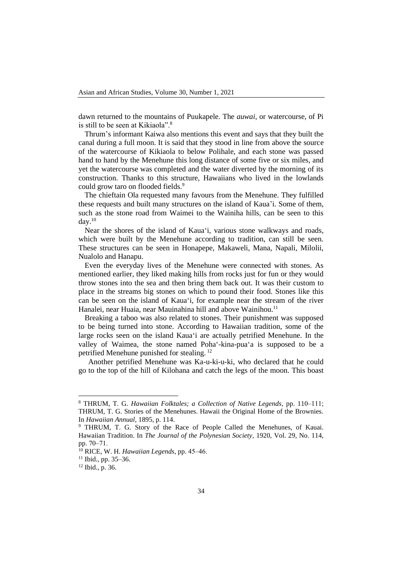dawn returned to the mountains of Puukapele. The *auwai*, or watercourse, of Pi is still to be seen at Kikiaola".<sup>8</sup>

Thrum's informant Kaiwa also mentions this event and says that they built the canal during a full moon. It is said that they stood in line from above the source of the watercourse of Kikiaola to below Polihale, and each stone was passed hand to hand by the Menehune this long distance of some five or six miles, and yet the watercourse was completed and the water diverted by the morning of its construction. Thanks to this structure, Hawaiians who lived in the lowlands could grow taro on flooded fields.<sup>9</sup>

The chieftain Ola requested many favours from the Menehune. They fulfilled these requests and built many structures on the island of Kaua'i. Some of them, such as the stone road from Waimei to the Wainiha hills, can be seen to this day. $10$ 

Near the shores of the island of Kaua'i, various stone walkways and roads, which were built by the Menehune according to tradition, can still be seen. These structures can be seen in Honapepe, Makaweli, Mana, Napali, Milolii, Nualolo and Hanapu.

Even the everyday lives of the Menehune were connected with stones. As mentioned earlier, they liked making hills from rocks just for fun or they would throw stones into the sea and then bring them back out. It was their custom to place in the streams big stones on which to pound their food. Stones like this can be seen on the island of Kaua'i, for example near the stream of the river Hanalei, near Huaia, near Mauinahina hill and above Wainihou.<sup>11</sup>

Breaking a taboo was also related to stones. Their punishment was supposed to be being turned into stone. According to Hawaiian tradition, some of the large rocks seen on the island Kaua'i are actually petrified Menehune. In the valley of Waimea, the stone named Poha'-kina-pua'a is supposed to be a petrified Menehune punished for stealing. <sup>12</sup>

Another petrified Menehune was Ka-u-ki-u-ki, who declared that he could go to the top of the hill of Kilohana and catch the legs of the moon. This boast

<sup>&</sup>lt;sup>8</sup> THRUM, T. G. *Hawaiian Folktales; a Collection of Native Legends*, pp. 110-111; THRUM, T. G. Stories of the Menehunes. Hawaii the Original Home of the Brownies. In *Hawaiian Annual*, 1895, p. 114.

<sup>&</sup>lt;sup>9</sup> THRUM, T. G. Story of the Race of People Called the Menehunes, of Kauai. Hawaiian Tradition. In *The Journal of the Polynesian Society*, 1920, Vol. 29, No. 114, pp. 70‒71.

<sup>&</sup>lt;sup>10</sup> RICE, W. H. *Hawaiian Legends*, pp. 45–46.

 $11$  Ibid., pp. 35–36.

<sup>12</sup> Ibid., p. 36.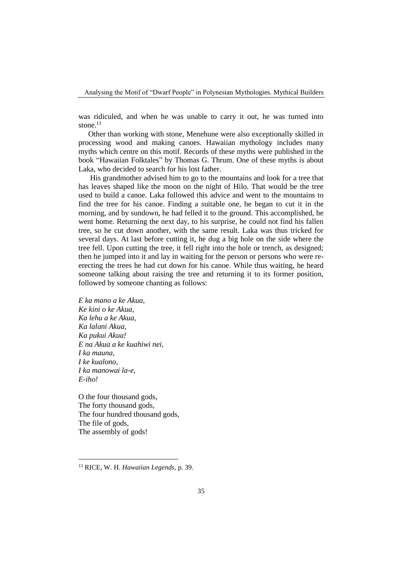was ridiculed, and when he was unable to carry it out, he was turned into stone $^{13}$ 

Other than working with stone, Menehune were also exceptionally skilled in processing wood and making canoes. Hawaiian mythology includes many myths which centre on this motif. Records of these myths were published in the book "Hawaiian Folktales" by Thomas G. Thrum. One of these myths is about Laka, who decided to search for his lost father.

His grandmother advised him to go to the mountains and look for a tree that has leaves shaped like the moon on the night of Hilo. That would be the tree used to build a canoe. Laka followed this advice and went to the mountains to find the tree for his canoe. Finding a suitable one, he began to cut it in the morning, and by sundown, he had felled it to the ground. This accomplished, he went home. Returning the next day, to his surprise, he could not find his fallen tree, so he cut down another, with the same result. Laka was thus tricked for several days. At last before cutting it, he dug a big hole on the side where the tree fell. Upon cutting the tree, it fell right into the hole or trench, as designed; then he jumped into it and lay in waiting for the person or persons who were reerecting the trees he had cut down for his canoe. While thus waiting, he heard someone talking about raising the tree and returning it to its former position, followed by someone chanting as follows:

*E ka mano a ke Akua, Ke kini o ke Akua, Ka lehu a ke Akua, Ka lalani Akua, Ka pukui Akua! E na Akua a ke kuahiwi nei, I ka mauna, I ke kualono, I ka manowai la-e, E-iho!*

O the four thousand gods, The forty thousand gods, The four hundred thousand gods, The file of gods, The assembly of gods!

<sup>13</sup> RICE, W. H. *Hawaiian Legends*, p. 39.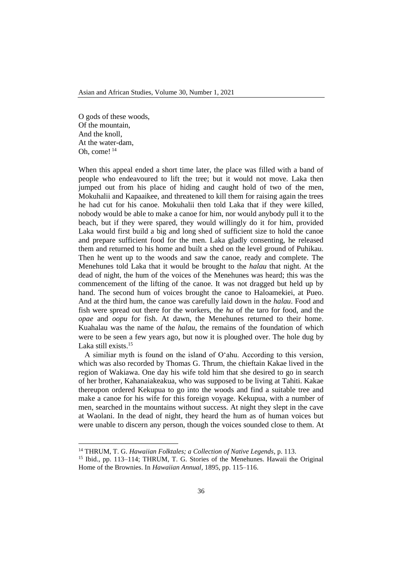O gods of these woods, Of the mountain, And the knoll, At the water-dam, Oh, come! <sup>14</sup>

When this appeal ended a short time later, the place was filled with a band of people who endeavoured to lift the tree; but it would not move. Laka then jumped out from his place of hiding and caught hold of two of the men, Mokuhalii and Kapaaikee, and threatened to kill them for raising again the trees he had cut for his canoe. Mokuhalii then told Laka that if they were killed, nobody would be able to make a canoe for him, nor would anybody pull it to the beach, but if they were spared, they would willingly do it for him, provided Laka would first build a big and long shed of sufficient size to hold the canoe and prepare sufficient food for the men. Laka gladly consenting, he released them and returned to his home and built a shed on the level ground of Puhikau. Then he went up to the woods and saw the canoe, ready and complete. The Menehunes told Laka that it would be brought to the *halau* that night. At the dead of night, the hum of the voices of the Menehunes was heard; this was the commencement of the lifting of the canoe. It was not dragged but held up by hand. The second hum of voices brought the canoe to Haloamekiei, at Pueo. And at the third hum, the canoe was carefully laid down in the *halau*. Food and fish were spread out there for the workers, the *ha* of the taro for food, and the *opae* and *oopu* for fish. At dawn, the Menehunes returned to their home. Kuahalau was the name of the *halau*, the remains of the foundation of which were to be seen a few years ago, but now it is ploughed over. The hole dug by Laka still exists.<sup>15</sup>

A similiar myth is found on the island of O'ahu. According to this version, which was also recorded by Thomas G. Thrum, the chieftain Kakae lived in the region of Wakiawa. One day his wife told him that she desired to go in search of her brother, Kahanaiakeakua, who was supposed to be living at Tahiti. Kakae thereupon ordered Kekupua to go into the woods and find a suitable tree and make a canoe for his wife for this foreign voyage. Kekupua, with a number of men, searched in the mountains without success. At night they slept in the cave at Waolani. In the dead of night, they heard the hum as of human voices but were unable to discern any person, though the voices sounded close to them. At

<sup>14</sup> THRUM, T. G. *Hawaiian Folktales; a Collection of Native Legends*, p. 113.

<sup>15</sup> Ibid., pp. 113–114; THRUM, T. G. Stories of the Menehunes. Hawaii the Original Home of the Brownies. In *Hawaiian Annual*, 1895, pp. 115–116.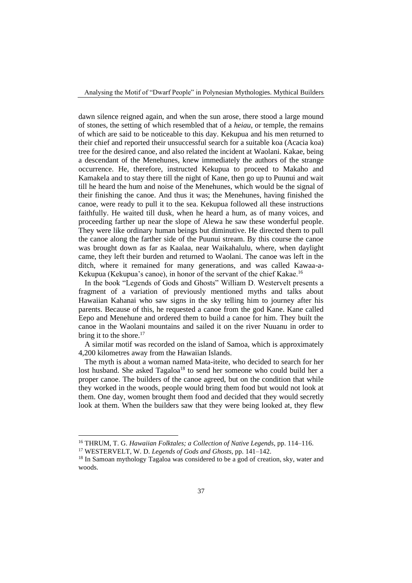dawn silence reigned again, and when the sun arose, there stood a large mound of stones, the setting of which resembled that of a *heiau*, or temple, the remains of which are said to be noticeable to this day. Kekupua and his men returned to their chief and reported their unsuccessful search for a suitable koa (Acacia koa) tree for the desired canoe, and also related the incident at Waolani. Kakae, being a descendant of the Menehunes, knew immediately the authors of the strange occurrence. He, therefore, instructed Kekupua to proceed to Makaho and Kamakela and to stay there till the night of Kane, then go up to Puunui and wait till he heard the hum and noise of the Menehunes, which would be the signal of their finishing the canoe. And thus it was; the Menehunes, having finished the canoe, were ready to pull it to the sea. Kekupua followed all these instructions faithfully. He waited till dusk, when he heard a hum, as of many voices, and proceeding farther up near the slope of Alewa he saw these wonderful people. They were like ordinary human beings but diminutive. He directed them to pull the canoe along the farther side of the Puunui stream. By this course the canoe was brought down as far as Kaalaa, near Waikahalulu, where, when daylight came, they left their burden and returned to Waolani. The canoe was left in the ditch, where it remained for many generations, and was called Kawaa-a-Kekupua (Kekupua's canoe), in honor of the servant of the chief Kakae.<sup>16</sup>

In the book "Legends of Gods and Ghosts" William D. Westervelt presents a fragment of a variation of previously mentioned myths and talks about Hawaiian Kahanai who saw signs in the sky telling him to journey after his parents. Because of this, he requested a canoe from the god Kane. Kane called Eepo and Menehune and ordered them to build a canoe for him. They built the canoe in the Waolani mountains and sailed it on the river Nuuanu in order to bring it to the shore. $17$ 

A similar motif was recorded on the island of Samoa, which is approximately 4,200 kilometres away from the Hawaiian Islands.

The myth is about a woman named Mata-iteite, who decided to search for her lost husband. She asked Tagaloa<sup>18</sup> to send her someone who could build her a proper canoe. The builders of the canoe agreed, but on the condition that while they worked in the woods, people would bring them food but would not look at them. One day, women brought them food and decided that they would secretly look at them. When the builders saw that they were being looked at, they flew

<sup>16</sup> THRUM, T. G. *Hawaiian Folktales; a Collection of Native Legends*, pp. 114–116.

<sup>17</sup> WESTERVELT, W. D. *Legends of Gods and Ghosts*, pp. 141–142.

<sup>&</sup>lt;sup>18</sup> In Samoan mythology Tagaloa was considered to be a god of creation, sky, water and woods.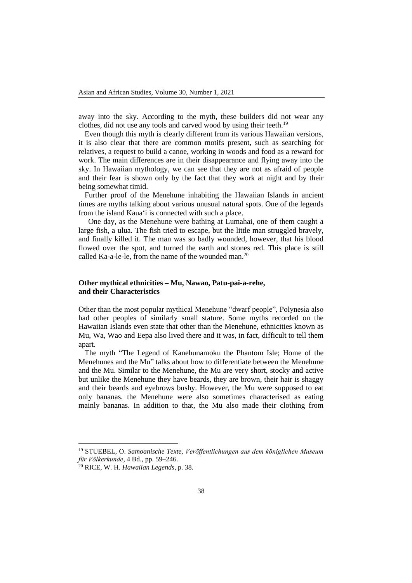away into the sky. According to the myth, these builders did not wear any clothes, did not use any tools and carved wood by using their teeth.<sup>19</sup>

Even though this myth is clearly different from its various Hawaiian versions, it is also clear that there are common motifs present, such as searching for relatives, a request to build a canoe, working in woods and food as a reward for work. The main differences are in their disappearance and flying away into the sky. In Hawaiian mythology, we can see that they are not as afraid of people and their fear is shown only by the fact that they work at night and by their being somewhat timid.

Further proof of the Menehune inhabiting the Hawaiian Islands in ancient times are myths talking about various unusual natural spots. One of the legends from the island Kaua'i is connected with such a place.

One day, as the Menehune were bathing at Lumahai, one of them caught a large fish, a ulua. The fish tried to escape, but the little man struggled bravely, and finally killed it. The man was so badly wounded, however, that his blood flowed over the spot, and turned the earth and stones red. This place is still called Ka-a-le-le, from the name of the wounded man.<sup>20</sup>

## **Other mythical ethnicities – Mu, Nawao, Patu-pai-a-rehe, and their Characteristics**

Other than the most popular mythical Menehune "dwarf people", Polynesia also had other peoples of similarly small stature. Some myths recorded on the Hawaiian Islands even state that other than the Menehune, ethnicities known as Mu, Wa, Wao and Eepa also lived there and it was, in fact, difficult to tell them apart.

The myth "The Legend of Kanehunamoku the Phantom Isle; Home of the Menehunes and the Mu" talks about how to differentiate between the Menehune and the Mu. Similar to the Menehune, the Mu are very short, stocky and active but unlike the Menehune they have beards, they are brown, their hair is shaggy and their beards and eyebrows bushy. However, the Mu were supposed to eat only bananas. the Menehune were also sometimes characterised as eating mainly bananas. In addition to that, the Mu also made their clothing from

<sup>19</sup> STUEBEL, O. *Samoanische Texte, Veröffentlichungen aus dem königlichen Museum für Völkerkunde*, 4 Bd., pp. 59–246.

<sup>20</sup> RICE, W. H. *Hawaiian Legends*, p. 38.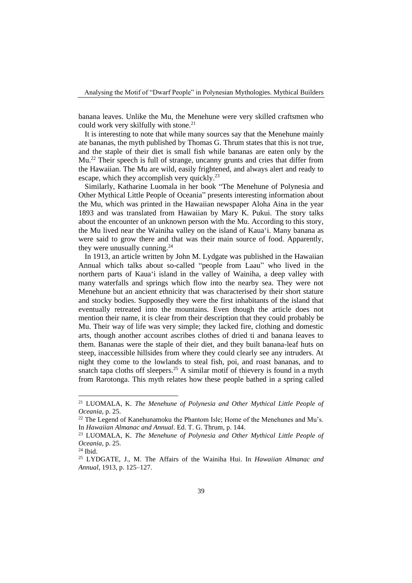banana leaves. Unlike the Mu, the Menehune were very skilled craftsmen who could work very skilfully with stone.<sup>21</sup>

It is interesting to note that while many sources say that the Menehune mainly ate bananas, the myth published by Thomas G. Thrum states that this is not true, and the staple of their diet is small fish while bananas are eaten only by the Mu.<sup>22</sup> Their speech is full of strange, uncanny grunts and cries that differ from the Hawaiian. The Mu are wild, easily frightened, and always alert and ready to escape, which they accomplish very quickly.<sup>23</sup>

Similarly, Katharine Luomala in her book "The Menehune of Polynesia and Other Mythical Little People of Oceania" presents interesting information about the Mu, which was printed in the Hawaiian newspaper Aloha Aina in the year 1893 and was translated from Hawaiian by Mary K. Pukui. The story talks about the encounter of an unknown person with the Mu. According to this story, the Mu lived near the Wainiha valley on the island of Kaua'i. Many banana as were said to grow there and that was their main source of food. Apparently, they were unusually cunning. $^{24}$ 

In 1913, an article written by John M. Lydgate was published in the Hawaiian Annual which talks about so-called "people from Laau" who lived in the northern parts of Kaua'i island in the valley of Wainiha, a deep valley with many waterfalls and springs which flow into the nearby sea. They were not Menehune but an ancient ethnicity that was characterised by their short stature and stocky bodies. Supposedly they were the first inhabitants of the island that eventually retreated into the mountains. Even though the article does not mention their name, it is clear from their description that they could probably be Mu. Their way of life was very simple; they lacked fire, clothing and domestic arts, though another account ascribes clothes of dried ti and banana leaves to them. Bananas were the staple of their diet, and they built banana-leaf huts on steep, inaccessible hillsides from where they could clearly see any intruders. At night they come to the lowlands to steal fish, poi, and roast bananas, and to snatch tapa cloths off sleepers.<sup>25</sup> A similar motif of thievery is found in a myth from Rarotonga. This myth relates how these people bathed in a spring called

<sup>21</sup> LUOMALA, K. *The Menehune of Polynesia and Other Mythical Little People of Oceania*, p. 25.

 $22$  The Legend of Kanehunamoku the Phantom Isle; Home of the Menehunes and Mu's. In *Hawaiian Almanac and Annual*. Ed. T. G. Thrum, p. 144.

<sup>23</sup> LUOMALA, K. *The Menehune of Polynesia and Other Mythical Little People of Oceania*, p. 25.

<sup>24</sup> Ibid.

<sup>25</sup> LYDGATE, J., M. The Affairs of the Wainiha Hui. In *Hawaiian Almanac and Annual*, 1913, p. 125–127.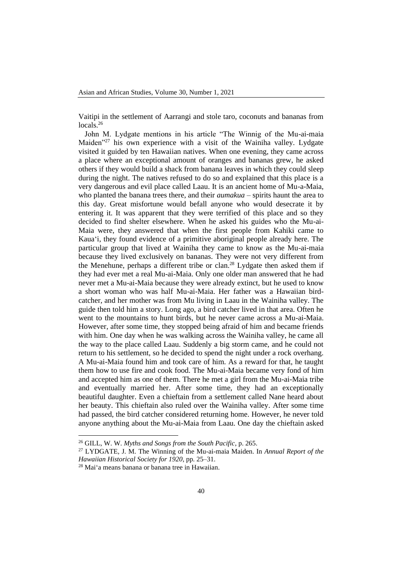Vaitipi in the settlement of Aarrangi and stole taro, coconuts and bananas from locals.<sup>26</sup>

John M. Lydgate mentions in his article "The Winnig of the Mu-ai-maia Maiden<sup>"27</sup> his own experience with a visit of the Wainiha valley. Lydgate visited it guided by ten Hawaiian natives. When one evening, they came across a place where an exceptional amount of oranges and bananas grew, he asked others if they would build a shack from banana leaves in which they could sleep during the night. The natives refused to do so and explained that this place is a very dangerous and evil place called Laau. It is an ancient home of Mu-a-Maia, who planted the banana trees there, and their *aumakua* – spirits haunt the area to this day. Great misfortune would befall anyone who would desecrate it by entering it. It was apparent that they were terrified of this place and so they decided to find shelter elsewhere. When he asked his guides who the Mu-ai-Maia were, they answered that when the first people from Kahiki came to Kaua'i, they found evidence of a primitive aboriginal people already here. The particular group that lived at Wainiha they came to know as the Mu-ai-maia because they lived exclusively on bananas. They were not very different from the Menehune, perhaps a different tribe or clan.<sup>28</sup> Lydgate then asked them if they had ever met a real Mu-ai-Maia. Only one older man answered that he had never met a Mu-ai-Maia because they were already extinct, but he used to know a short woman who was half Mu-ai-Maia. Her father was a Hawaiian birdcatcher, and her mother was from Mu living in Laau in the Wainiha valley. The guide then told him a story. Long ago, a bird catcher lived in that area. Often he went to the mountains to hunt birds, but he never came across a Mu-ai-Maia. However, after some time, they stopped being afraid of him and became friends with him. One day when he was walking across the Wainiha valley, he came all the way to the place called Laau. Suddenly a big storm came, and he could not return to his settlement, so he decided to spend the night under a rock overhang. A Mu-ai-Maia found him and took care of him. As a reward for that, he taught them how to use fire and cook food. The Mu-ai-Maia became very fond of him and accepted him as one of them. There he met a girl from the Mu-ai-Maia tribe and eventually married her. After some time, they had an exceptionally beautiful daughter. Even a chieftain from a settlement called Nane heard about her beauty. This chieftain also ruled over the Wainiha valley. After some time had passed, the bird catcher considered returning home. However, he never told anyone anything about the Mu-ai-Maia from Laau. One day the chieftain asked

<sup>26</sup> GILL, W. W. *Myths and Songs from the South Pacific*, p. 265.

<sup>27</sup> LYDGATE, J. M. The Winning of the Mu-ai-maia Maiden. In *Annual Report of the Hawaiian Historical Society for 1920*, pp. 25–31.

<sup>28</sup> Mai'a means banana or banana tree in Hawaiian.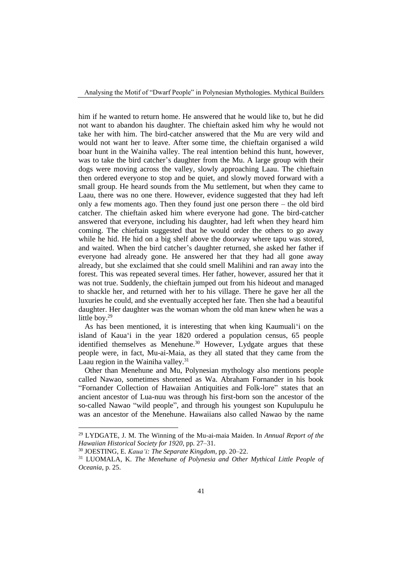him if he wanted to return home. He answered that he would like to, but he did not want to abandon his daughter. The chieftain asked him why he would not take her with him. The bird-catcher answered that the Mu are very wild and would not want her to leave. After some time, the chieftain organised a wild boar hunt in the Wainiha valley. The real intention behind this hunt, however, was to take the bird catcher's daughter from the Mu. A large group with their dogs were moving across the valley, slowly approaching Laau. The chieftain then ordered everyone to stop and be quiet, and slowly moved forward with a small group. He heard sounds from the Mu settlement, but when they came to Laau, there was no one there. However, evidence suggested that they had left only a few moments ago. Then they found just one person there – the old bird catcher. The chieftain asked him where everyone had gone. The bird-catcher answered that everyone, including his daughter, had left when they heard him coming. The chieftain suggested that he would order the others to go away while he hid. He hid on a big shelf above the doorway where tapu was stored, and waited. When the bird catcher's daughter returned, she asked her father if everyone had already gone. He answered her that they had all gone away already, but she exclaimed that she could smell Malihini and ran away into the forest. This was repeated several times. Her father, however, assured her that it was not true. Suddenly, the chieftain jumped out from his hideout and managed to shackle her, and returned with her to his village. There he gave her all the luxuries he could, and she eventually accepted her fate. Then she had a beautiful daughter. Her daughter was the woman whom the old man knew when he was a little boy.<sup>29</sup>

As has been mentioned, it is interesting that when king Kaumuali'i on the island of Kaua'i in the year 1820 ordered a population census, 65 people identified themselves as Menehune.<sup>30</sup> However, Lydgate argues that these people were, in fact, Mu-ai-Maia, as they all stated that they came from the Laau region in the Wainiha valley. $31$ 

Other than Menehune and Mu, Polynesian mythology also mentions people called Nawao, sometimes shortened as Wa. Abraham Fornander in his book "Fornander Collection of Hawaiian Antiquities and Folk-lore" states that an ancient ancestor of Lua-nuu was through his first-born son the ancestor of the so-called Nawao "wild people", and through his youngest son Kupulupulu he was an ancestor of the Menehune. Hawaiians also called Nawao by the name

<sup>29</sup> LYDGATE, J. M. The Winning of the Mu-ai-maia Maiden. In *Annual Report of the Hawaiian Historical Society for 1920*, pp. 27–31.

<sup>30</sup> JOESTING, E. *Kaua'i: The Separate Kingdom*, pp. 20–22.

<sup>31</sup> LUOMALA, K. *The Menehune of Polynesia and Other Mythical Little People of Oceania*, p. 25.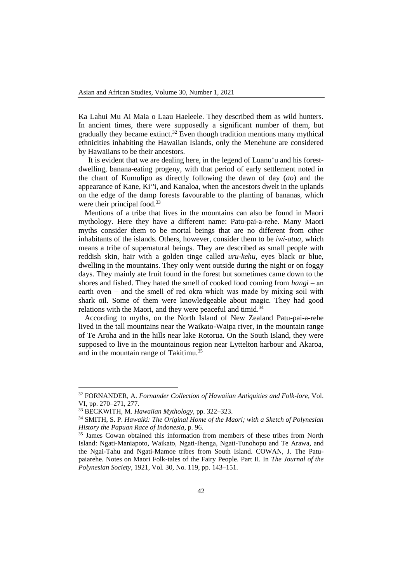Ka Lahui Mu Ai Maia o Laau Haeleele. They described them as wild hunters. In ancient times, there were supposedly a significant number of them, but gradually they became extinct.<sup>32</sup> Even though tradition mentions many mythical ethnicities inhabiting the Hawaiian Islands, only the Menehune are considered by Hawaiians to be their ancestors.

It is evident that we are dealing here, in the legend of Luanu'u and his forestdwelling, banana-eating progeny, with that period of early settlement noted in the chant of Kumulipo as directly following the dawn of day (*ao*) and the appearance of Kane, Ki''i, and Kanaloa, when the ancestors dwelt in the uplands on the edge of the damp forests favourable to the planting of bananas, which were their principal food.<sup>33</sup>

Mentions of a tribe that lives in the mountains can also be found in Maori mythology. Here they have a different name: Patu-pai-a-rehe. Many Maori myths consider them to be mortal beings that are no different from other inhabitants of the islands. Others, however, consider them to be *iwi-atua*, which means a tribe of supernatural beings. They are described as small people with reddish skin, hair with a golden tinge called *uru-kehu*, eyes black or blue, dwelling in the mountains. They only went outside during the night or on foggy days. They mainly ate fruit found in the forest but sometimes came down to the shores and fished. They hated the smell of cooked food coming from *hangi* – an earth oven  $-$  and the smell of red okra which was made by mixing soil with shark oil. Some of them were knowledgeable about magic. They had good relations with the Maori, and they were peaceful and timid.<sup>34</sup>

According to myths, on the North Island of New Zealand Patu-pai-a-rehe lived in the tall mountains near the Waikato-Waipa river, in the mountain range of Te Aroha and in the hills near lake Rotorua. On the South Island, they were supposed to live in the mountainous region near Lyttelton harbour and Akaroa, and in the mountain range of Takitimu.<sup>35</sup>

<sup>32</sup> FORNANDER, A. *Fornander Collection of Hawaiian Antiquities and Folk-lore*, Vol. VI, pp. 270–271, 277.

<sup>33</sup> BECKWITH, M. *Hawaiian Mythology*, pp. 322–323.

<sup>34</sup> SMITH, S. P. *Hawaiki: The Original Home of the Maori; with a Sketch of Polynesian History the Papuan Race of Indonesia*, p. 96.

<sup>35</sup> James Cowan obtained this information from members of these tribes from North Island: Ngati-Maniapoto, Waikato, Ngati-Ihenga, Ngati-Tunohopu and Te Arawa, and the Ngai-Tahu and Ngati-Mamoe tribes from South Island. COWAN, J. The Patupaiarehe. Notes on Maori Folk-tales of the Fairy People. Part II. In *The Journal of the Polynesian Society*, 1921, Vol. 30, No. 119, pp. 143–151.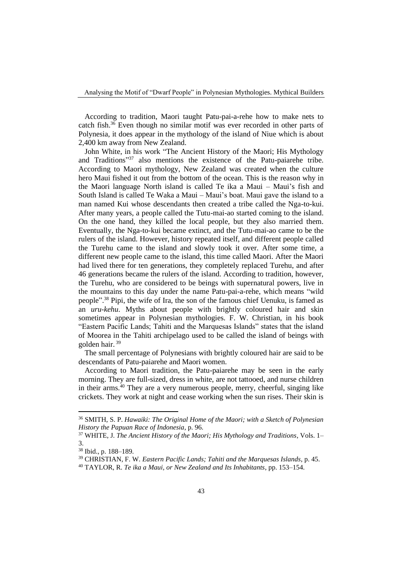According to tradition, Maori taught Patu-pai-a-rehe how to make nets to catch fish.<sup>36</sup> Even though no similar motif was ever recorded in other parts of Polynesia, it does appear in the mythology of the island of Niue which is about 2,400 km away from New Zealand.

John White, in his work "The Ancient History of the Maori; His Mythology and Traditions"<sup>37</sup> also mentions the existence of the Patu-paiarehe tribe. According to Maori mythology, New Zealand was created when the culture hero Maui fished it out from the bottom of the ocean. This is the reason why in the Maori language North island is called Te ika a Maui – Maui's fish and South Island is called Te Waka a Maui – Maui's boat. Maui gave the island to a man named Kui whose descendants then created a tribe called the Nga-to-kui. After many years, a people called the Tutu-mai-ao started coming to the island. On the one hand, they killed the local people, but they also married them. Eventually, the Nga-to-kui became extinct, and the Tutu-mai-ao came to be the rulers of the island. However, history repeated itself, and different people called the Turehu came to the island and slowly took it over. After some time, a different new people came to the island, this time called Maori. After the Maori had lived there for ten generations, they completely replaced Turehu, and after 46 generations became the rulers of the island. According to tradition, however, the Turehu, who are considered to be beings with supernatural powers, live in the mountains to this day under the name Patu-pai-a-rehe, which means "wild people". <sup>38</sup> Pipi, the wife of Ira, the son of the famous chief Uenuku, is famed as an *uru-kehu*. Myths about people with brightly coloured hair and skin sometimes appear in Polynesian mythologies. F. W. Christian, in his book "Eastern Pacific Lands; Tahiti and the Marquesas Islands" states that the island of Moorea in the Tahiti archipelago used to be called the island of beings with golden hair. <sup>39</sup>

The small percentage of Polynesians with brightly coloured hair are said to be descendants of Patu-paiarehe and Maori women.

According to Maori tradition, the Patu-paiarehe may be seen in the early morning. They are full-sized, dress in white, are not tattooed, and nurse children in their arms.<sup>40</sup> They are a very numerous people, merry, cheerful, singing like crickets. They work at night and cease working when the sun rises. Their skin is

<sup>36</sup> SMITH, S. P. *Hawaiki: The Original Home of the Maori; with a Sketch of Polynesian History the Papuan Race of Indonesia*, p. 96.

<sup>37</sup> WHITE, J. *The Ancient History of the Maori; His Mythology and Traditions*, Vols. 1– 3.

<sup>38</sup> Ibid., p. 188–189.

<sup>39</sup> CHRISTIAN, F. W. *Eastern Pacific Lands; Tahiti and the Marquesas Islands*, p. 45.

<sup>40</sup> TAYLOR, R. *Te ika a Maui, or New Zealand and Its Inhabitants*, pp. 153–154.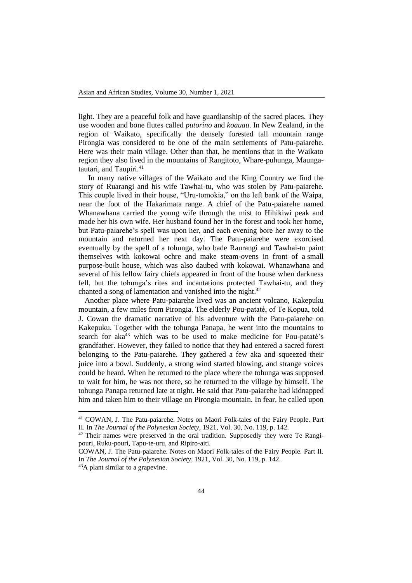light. They are a peaceful folk and have guardianship of the sacred places. They use wooden and bone flutes called *putorino* and *koauau*. In New Zealand, in the region of Waikato, specifically the densely forested tall mountain range Pirongia was considered to be one of the main settlements of Patu-paiarehe. Here was their main village. Other than that, he mentions that in the Waikato region they also lived in the mountains of Rangitoto, Whare-puhunga, Maungatautari, and Taupiri.<sup>41</sup>

In many native villages of the Waikato and the King Country we find the story of Ruarangi and his wife Tawhai-tu, who was stolen by Patu-paiarehe. This couple lived in their house, "Uru-tomokia," on the left bank of the Waipa, near the foot of the Hakarimata range. A chief of the Patu-paiarehe named Whanawhana carried the young wife through the mist to Hihikiwi peak and made her his own wife. Her husband found her in the forest and took her home, but Patu-paiarehe's spell was upon her, and each evening bore her away to the mountain and returned her next day. The Patu-paiarehe were exorcised eventually by the spell of a tohunga, who bade Raurangi and Tawhai-tu paint themselves with kokowai ochre and make steam-ovens in front of a small purpose-built house, which was also daubed with kokowai. Whanawhana and several of his fellow fairy chiefs appeared in front of the house when darkness fell, but the tohunga's rites and incantations protected Tawhai-tu, and they chanted a song of lamentation and vanished into the night. $42$ 

Another place where Patu-paiarehe lived was an ancient volcano, Kakepuku mountain, a few miles from Pirongia. The elderly Pou-pataté, of Te Kopua, told J. Cowan the dramatic narrative of his adventure with the Patu-paiarehe on Kakepuku. Together with the tohunga Panapa, he went into the mountains to search for  $aka<sup>43</sup>$  which was to be used to make medicine for Pou-pataté's grandfather. However, they failed to notice that they had entered a sacred forest belonging to the Patu-paiarehe. They gathered a few aka and squeezed their juice into a bowl. Suddenly, a strong wind started blowing, and strange voices could be heard. When he returned to the place where the tohunga was supposed to wait for him, he was not there, so he returned to the village by himself. The tohunga Panapa returned late at night. He said that Patu-paiarehe had kidnapped him and taken him to their village on Pirongia mountain. In fear, he called upon

<sup>41</sup> COWAN, J. The Patu-paiarehe. Notes on Maori Folk-tales of the Fairy People. Part II. In *The Journal of the Polynesian Society*, 1921, Vol. 30, No. 119, p. 142.

 $42$  Their names were preserved in the oral tradition. Supposedly they were Te Rangipouri, Ruku-pouri, Tapu-te-uru, and Ripiro-aiti.

COWAN, J. The Patu-paiarehe. Notes on Maori Folk-tales of the Fairy People. Part II. In *The Journal of the Polynesian Society*, 1921, Vol. 30, No. 119, p. 142.

<sup>43</sup>A plant similar to a grapevine.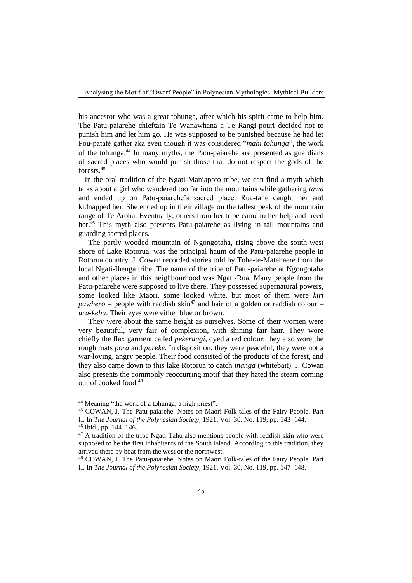his ancestor who was a great tohunga, after which his spirit came to help him. The Patu-paiarehe chieftain Te Wanawhana a Te Rangi-pouri decided not to punish him and let him go. He was supposed to be punished because he had let Pou-pataté gather aka even though it was considered "*mahi tohunga*", the work of the tohunga.<sup>44</sup> In many myths, the Patu-paiarehe are presented as guardians of sacred places who would punish those that do not respect the gods of the forests<sup>45</sup>

In the oral tradition of the Ngati-Maniapoto tribe, we can find a myth which talks about a girl who wandered too far into the mountains while gathering *tawa* and ended up on Patu-paiarehe's sacred place. Rua-tane caught her and kidnapped her. She ended up in their village on the tallest peak of the mountain range of Te Aroha. Eventually, others from her tribe came to her help and freed her.<sup>46</sup> This myth also presents Patu-paiarehe as living in tall mountains and guarding sacred places.

The partly wooded mountain of Ngongotaha, rising above the south-west shore of Lake Rotorua, was the principal haunt of the Patu-paiarehe people in Rotorua country. J. Cowan recorded stories told by Tohe-te-Matehaere from the local Ngati-Ihenga tribe. The name of the tribe of Patu-paiarehe at Ngongotaha and other places in this neighbourhood was Ngati-Rua. Many people from the Patu-paiarehe were supposed to live there. They possessed supernatural powers, some looked like Maori, some looked white, but most of them were *kiri*  $p$ *uwhero* – people with reddish skin<sup>47</sup> and hair of a golden or reddish colour – *uru-kehu*. Their eyes were either blue or brown.

They were about the same height as ourselves. Some of their women were very beautiful, very fair of complexion, with shining fair hair. They wore chiefly the flax garment called *pekerangi*, dyed a red colour; they also wore the rough mats *pora* and *pureke*. In disposition, they were peaceful; they were not a war-loving, angry people. Their food consisted of the products of the forest, and they also came down to this lake Rotorua to catch *inanga* (whitebait). J. Cowan also presents the commonly reoccurring motif that they hated the steam coming out of cooked food.<sup>48</sup>

<sup>&</sup>lt;sup>44</sup> Meaning "the work of a tohunga, a high priest".

<sup>45</sup> COWAN, J. The Patu-paiarehe. Notes on Maori Folk-tales of the Fairy People. Part II. In *The Journal of the Polynesian Society*, 1921, Vol. 30, No. 119, pp. 143–144.

 $46$  Ibid., pp. 144–146.

<sup>&</sup>lt;sup>47</sup> A tradition of the tribe Ngati-Tahu also mentions people with reddish skin who were supposed to be the first inhabitants of the South Island. According to this tradition, they arrived there by boat from the west or the northwest.

<sup>48</sup> COWAN, J. The Patu-paiarehe. Notes on Maori Folk-tales of the Fairy People. Part II. In *The Journal of the Polynesian Society*, 1921, Vol. 30, No. 119, pp. 147–148.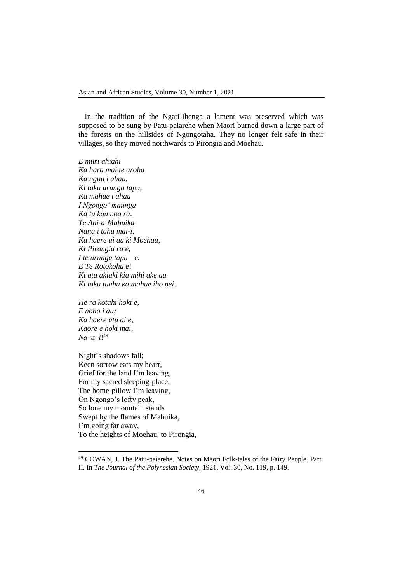In the tradition of the Ngati-Ihenga a lament was preserved which was supposed to be sung by Patu-paiarehe when Maori burned down a large part of the forests on the hillsides of Ngongotaha. They no longer felt safe in their villages, so they moved northwards to Pirongia and Moehau.

*E muri ahiahi Ka hara mai te aroha Ka ngau i ahau*, *Ki taku urunga tapu, Ka mahue i ahau I Ngongo' maunga Ka tu kau noa ra*. *Te Ahi-a-Mahuika Nana i tahu mai-i. Ka haere ai au ki Moehau*, *Ki Pirongia ra e, I te urunga tapu—e. E Te Rotokohu e*! *Ki ata akiaki kia mihi ake au Ki taku tuahu ka mahue iho nei*.

*He ra kotahi hoki e*, *E noho i au; Ka haere atu ai e*, *Kaore e hoki mai*, *Na‒a‒i*! 49

Night's shadows fall; Keen sorrow eats my heart, Grief for the land I'm leaving, For my sacred sleeping-place, The home-pillow I'm leaving, On Ngongo's lofty peak, So lone my mountain stands Swept by the flames of Mahuika, I'm going far away, To the heights of Moehau, to Pirongia,

<sup>49</sup> COWAN, J. The Patu-paiarehe. Notes on Maori Folk-tales of the Fairy People. Part II. In *The Journal of the Polynesian Society*, 1921, Vol. 30, No. 119, p. 149.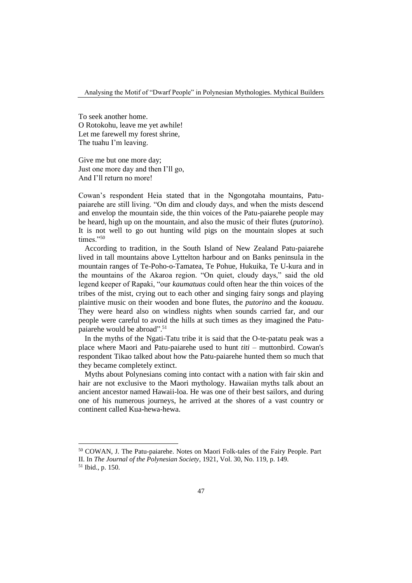To seek another home. O Rotokohu, leave me yet awhile! Let me farewell my forest shrine, The tuahu I'm leaving.

Give me but one more day; Just one more day and then I'll go, And I'll return no more!

Cowan's respondent Heia stated that in the Ngongotaha mountains, Patupaiarehe are still living. "On dim and cloudy days, and when the mists descend and envelop the mountain side, the thin voices of the Patu-paiarehe people may be heard, high up on the mountain, and also the music of their flutes (*putorino*). It is not well to go out hunting wild pigs on the mountain slopes at such times."50

According to tradition, in the South Island of New Zealand Patu-paiarehe lived in tall mountains above Lyttelton harbour and on Banks peninsula in the mountain ranges of Te-Poho-o-Tamatea, Te Pohue, Hukuika, Te U-kura and in the mountains of the Akaroa region. "On quiet, cloudy days," said the old legend keeper of Rapaki, "our *kaumatuas* could often hear the thin voices of the tribes of the mist, crying out to each other and singing fairy songs and playing plaintive music on their wooden and bone flutes, the *putorino* and the *koauau*. They were heard also on windless nights when sounds carried far, and our people were careful to avoid the hills at such times as they imagined the Patupaiarehe would be abroad".<sup>51</sup>

In the myths of the Ngati-Tatu tribe it is said that the O-te-patatu peak was a place where Maori and Patu-paiarehe used to hunt *titi* – muttonbird. Cowan's respondent Tikao talked about how the Patu-paiarehe hunted them so much that they became completely extinct.

Myths about Polynesians coming into contact with a nation with fair skin and hair are not exclusive to the Maori mythology. Hawaiian myths talk about an ancient ancestor named Hawaii-loa. He was one of their best sailors, and during one of his numerous journeys, he arrived at the shores of a vast country or continent called Kua-hewa-hewa.

<sup>50</sup> COWAN, J. The Patu-paiarehe. Notes on Maori Folk-tales of the Fairy People. Part II. In *The Journal of the Polynesian Society*, 1921, Vol. 30, No. 119, p. 149.

<sup>51</sup> Ibid., p. 150.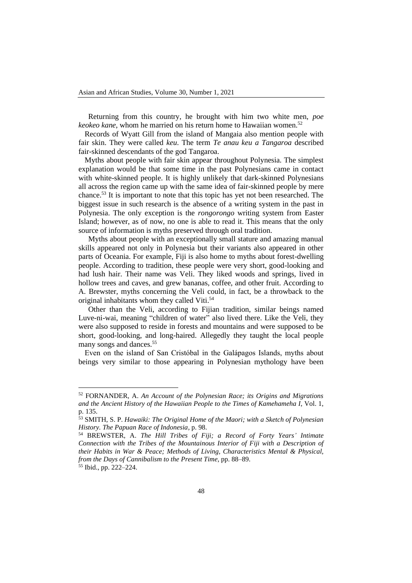Returning from this country, he brought with him two white men, *poe keokeo kane*, whom he married on his return home to Hawaiian women.<sup>52</sup>

Records of Wyatt Gill from the island of Mangaia also mention people with fair skin. They were called *keu*. The term *Te anau keu a Tangaroa* described fair-skinned descendants of the god Tangaroa.

Myths about people with fair skin appear throughout Polynesia. The simplest explanation would be that some time in the past Polynesians came in contact with white-skinned people. It is highly unlikely that dark-skinned Polynesians all across the region came up with the same idea of fair-skinned people by mere chance.<sup>53</sup> It is important to note that this topic has yet not been researched. The biggest issue in such research is the absence of a writing system in the past in Polynesia. The only exception is the *rongorongo* writing system from Easter Island; however, as of now, no one is able to read it. This means that the only source of information is myths preserved through oral tradition.

Myths about people with an exceptionally small stature and amazing manual skills appeared not only in Polynesia but their variants also appeared in other parts of Oceania. For example, Fiji is also home to myths about forest-dwelling people. According to tradition, these people were very short, good-looking and had lush hair. Their name was Veli. They liked woods and springs, lived in hollow trees and caves, and grew bananas, coffee, and other fruit. According to A. Brewster, myths concerning the Veli could, in fact, be a throwback to the original inhabitants whom they called Viti.<sup>54</sup>

Other than the Veli, according to Fijian tradition, similar beings named Luve-ni-wai, meaning "children of water" also lived there. Like the Veli, they were also supposed to reside in forests and mountains and were supposed to be short, good-looking, and long-haired. Allegedly they taught the local people many songs and dances.<sup>55</sup>

Even on the island of San Cristóbal in the Galápagos Islands, myths about beings very similar to those appearing in Polynesian mythology have been

<sup>52</sup> FORNANDER, A. *An Account of the Polynesian Race; its Origins and Migrations and the Ancient History of the Hawaiian People to the Times of Kamehameha I*, Vol. 1, p. 135.

<sup>53</sup> SMITH, S. P. *Hawaiki: The Original Home of the Maori; with a Sketch of Polynesian History. The Papuan Race of Indonesia*, p. 98.

<sup>54</sup> BREWSTER, A. *The Hill Tribes of Fiji; a Record of Forty Years' Intimate Connection with the Tribes of the Mountainous Interior of Fiji with a Description of their Habits in War & Peace; Methods of Living, Characteristics Mental & Physical, from the Days of Cannibalism to the Present Time*, pp. 88–89. <sup>55</sup> Ibid., pp. 222–224.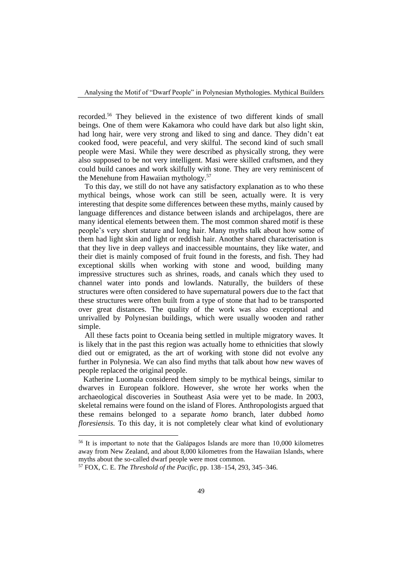recorded.<sup>56</sup> They believed in the existence of two different kinds of small beings. One of them were Kakamora who could have dark but also light skin, had long hair, were very strong and liked to sing and dance. They didn't eat cooked food, were peaceful, and very skilful. The second kind of such small people were Masi. While they were described as physically strong, they were also supposed to be not very intelligent. Masi were skilled craftsmen, and they could build canoes and work skilfully with stone. They are very reminiscent of the Menehune from Hawaiian mythology.<sup>57</sup>

To this day, we still do not have any satisfactory explanation as to who these mythical beings, whose work can still be seen, actually were. It is very interesting that despite some differences between these myths, mainly caused by language differences and distance between islands and archipelagos, there are many identical elements between them. The most common shared motif is these people's very short stature and long hair. Many myths talk about how some of them had light skin and light or reddish hair. Another shared characterisation is that they live in deep valleys and inaccessible mountains, they like water, and their diet is mainly composed of fruit found in the forests, and fish. They had exceptional skills when working with stone and wood, building many impressive structures such as shrines, roads, and canals which they used to channel water into ponds and lowlands. Naturally, the builders of these structures were often considered to have supernatural powers due to the fact that these structures were often built from a type of stone that had to be transported over great distances. The quality of the work was also exceptional and unrivalled by Polynesian buildings, which were usually wooden and rather simple.

All these facts point to Oceania being settled in multiple migratory waves. It is likely that in the past this region was actually home to ethnicities that slowly died out or emigrated, as the art of working with stone did not evolve any further in Polynesia. We can also find myths that talk about how new waves of people replaced the original people.

Katherine Luomala considered them simply to be mythical beings, similar to dwarves in European folklore. However, she wrote her works when the archaeological discoveries in Southeast Asia were yet to be made. In 2003, skeletal remains were found on the island of Flores. Anthropologists argued that these remains belonged to a separate *homo* branch, later dubbed *homo floresiensis.* To this day, it is not completely clear what kind of evolutionary

<sup>56</sup> It is important to note that the Galápagos Islands are more than 10,000 kilometres away from New Zealand, and about 8,000 kilometres from the Hawaiian Islands, where myths about the so-called dwarf people were most common.

<sup>57</sup> FOX, C. E. *The Threshold of the Pacific*, pp. 138–154, 293, 345–346.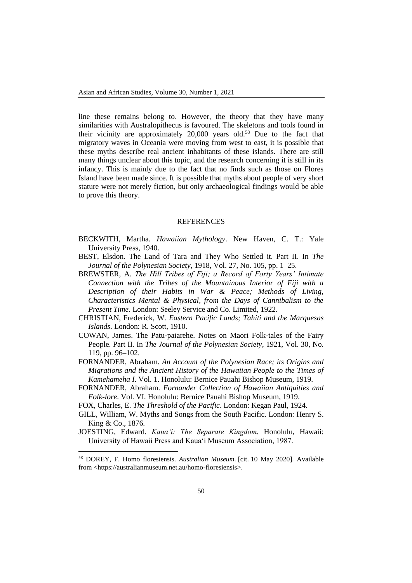line these remains belong to. However, the theory that they have many similarities with Australopithecus is favoured. The skeletons and tools found in their vicinity are approximately  $20,000$  years old.<sup>58</sup> Due to the fact that migratory waves in Oceania were moving from west to east, it is possible that these myths describe real ancient inhabitants of these islands. There are still many things unclear about this topic, and the research concerning it is still in its infancy. This is mainly due to the fact that no finds such as those on Flores Island have been made since. It is possible that myths about people of very short stature were not merely fiction, but only archaeological findings would be able to prove this theory.

## **REFERENCES**

- BECKWITH, Martha. *Hawaiian Mythology*. New Haven, C. T.: Yale University Press, 1940.
- BEST, Elsdon. The Land of Tara and They Who Settled it. Part II. In *The Journal of the Polynesian Society*, 1918, Vol. 27, No. 105, pp. 1–25.
- BREWSTER, A. *The Hill Tribes of Fiji; a Record of Forty Years' Intimate Connection with the Tribes of the Mountainous Interior of Fiji with a Description of their Habits in War & Peace; Methods of Living, Characteristics Mental & Physical, from the Days of Cannibalism to the Present Time*. London: Seeley Service and Co. Limited, 1922.
- CHRISTIAN, Frederick, W. *Eastern Pacific Lands; Tahiti and the Marquesas Islands*. London: R. Scott, 1910.
- COWAN, James. The Patu-paiarehe. Notes on Maori Folk-tales of the Fairy People. Part II. In *The Journal of the Polynesian Society*, 1921, Vol. 30, No. 119, pp. 96–102.
- FORNANDER, Abraham. *An Account of the Polynesian Race; its Origins and Migrations and the Ancient History of the Hawaiian People to the Times of Kamehameha I*. Vol. 1. Honolulu: Bernice Pauahi Bishop Museum, 1919.
- FORNANDER, Abraham. *Fornander Collection of Hawaiian Antiquities and Folk-lore*. Vol. VI. Honolulu: Bernice Pauahi Bishop Museum, 1919.
- FOX, Charles, E. *The Threshold of the Pacific*. London: Kegan Paul, 1924.
- GILL, William, W. Myths and Songs from the South Pacific. London: Henry S. King & Co., 1876.
- JOESTING, Edward. *Kaua'i: The Separate Kingdom.* Honolulu, Hawaii: University of Hawaii Press and Kauaʻi Museum Association, 1987.

<sup>58</sup> DOREY, F. Homo floresiensis. *Australian Museum.* [cit. 10 May 2020]. Available from [<https://australianmuseum.net.au/homo-floresiensis>](https://australianmuseum.net.au/homo-floresiensis).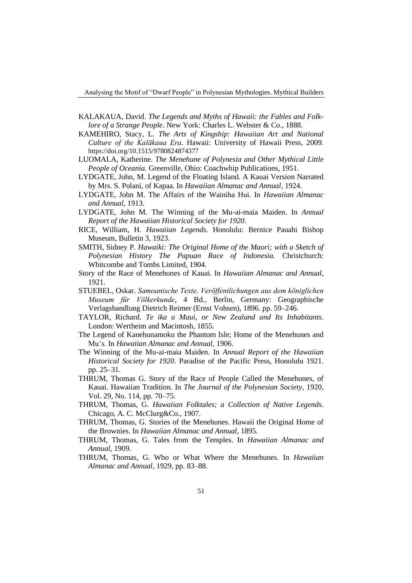Analysing the Motif of "Dwarf People" in Polynesian Mythologies. Mythical Builders

- KALAKAUA, David. *The Legends and Myths of Hawaii: the Fables and Folklore of a Strange People*. New York: Charles L. Webster & Co., 1888.
- KAMEHIRO, Stacy, L. *[The Arts of Kingship: Hawaiian Art and National](https://books.google.com/books?id=oQCJ3NkS2ncC)  [Culture of the Kalākaua Era](https://books.google.com/books?id=oQCJ3NkS2ncC)*. Hawaii: [University of Hawaii Press,](https://en.wikipedia.org/wiki/University_of_Hawaii_Press) 2009. <https://doi.org/10.1515/9780824874377>
- LUOMALA, Katherine. *The Menehune of Polynesia and Other Mythical Little People of Oceania.* Greenville, Ohio: Coachwhip Publications, 1951.
- LYDGATE, John, M. Legend of the Floating Island. A Kauai Version Narrated by Mrs. S. Polani, of Kapaa. In *Hawaiian Almanac and Annual*, 1924.
- LYDGATE, John M. The Affairs of the Wainiha Hui. In *Hawaiian Almanac and Annual*, 1913.
- LYDGATE, John M. The Winning of the Mu-ai-maia Maiden. In *Annual Report of the Hawaiian Historical Society for 1920.*
- RICE, William, H. *Hawaiian Legends.* Honolulu: Bernice Pauahi Bishop Museum, Bulletin 3, 1923.
- SMITH, Sidney P. *Hawaiki: The Original Home of the Maori; with a Sketch of Polynesian History The Papuan Race of Indonesia.* Christchurch: [Whitcombe and Tombs Limited,](http://nzetc.victoria.ac.nz/tm/scholarly/name-002884.html) 1904.
- Story of the Race of Menehunes of Kauai. In *Hawaiian Almanac and Annual*, 1921.
- STUEBEL, Oskar. *Samoanische Texte, Veröffentlichungen aus dem königlichen Museum für Völkerkunde*, 4 Bd., Berlin, Germany: Geographische Verlagshandlung Dietrich Reimer (Ernst Vohsen), 1896. pp. 59–246.
- TAYLOR, Richard. *Te ika a Maui, or New Zealand and Its Inhabitants*. London: [Wertheim and Macintosh,](http://nzetc.victoria.ac.nz/tm/scholarly/name-103026.html) 1855.
- The Legend of Kanehunamoku the Phantom Isle; Home of the Menehunes and Mu's. In *Hawaiian Almanac and Annual*, 1906.
- The Winning of the Mu-ai-maia Maiden. In *Annual Report of the Hawaiian Historical Society for 1920*. Paradise of the Pacific Press, Honolulu 1921. pp. 25–31.
- THRUM, Thomas G. Story of the Race of People Called the Menehunes, of Kauai. Hawaiian Tradition. In *The Journal of the Polynesian Society*, 1920, Vol. 29, No. 114, pp. 70–75.
- THRUM, Thomas, G. *Hawaiian Folktales; a Collection of Native Legends*. Chicago, A. C. McClurg&Co., 1907.
- THRUM, Thomas, G. Stories of the Menehunes. Hawaii the Original Home of the Brownies. In *Hawaiian Almanac and Annual*, 1895.
- THRUM, Thomas, G. Tales from the Temples. In *Hawaiian Almanac and Annual*, 1909.
- THRUM, Thomas, G. Who or What Where the Menehunes. In *Hawaiian Almanac and Annual*, 1929, pp. 83–88.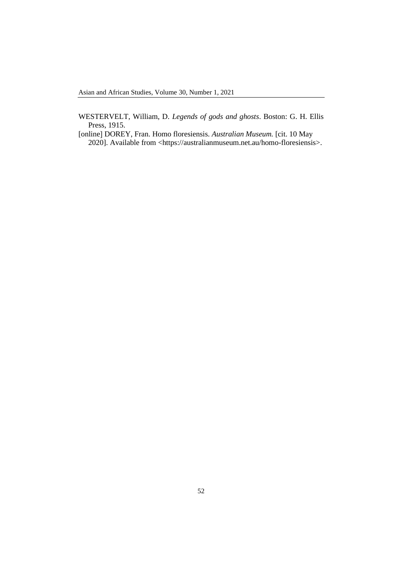- WESTERVELT, William, D. *Legends of gods and ghosts*. Boston: G. H. Ellis Press, 1915.
- [online] DOREY, Fran. Homo floresiensis. *Australian Museum.* [cit. 10 May 2020]. Available from [<https://australianmuseum.net.au/homo-floresiensis>](https://australianmuseum.net.au/homo-floresiensis).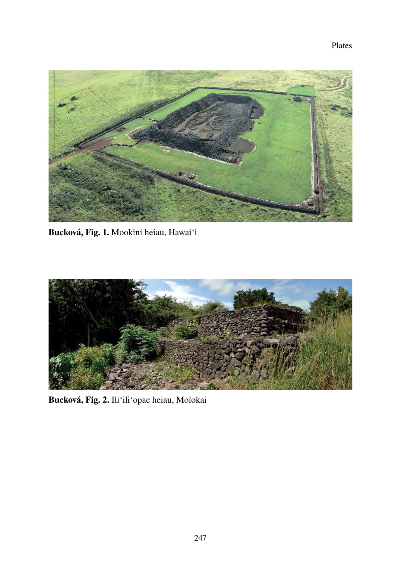

Bucková, Fig. 1. Mookini heiau, Hawai'i



Bucková, Fig. 2. Ili'ili'opae heiau, Molokai